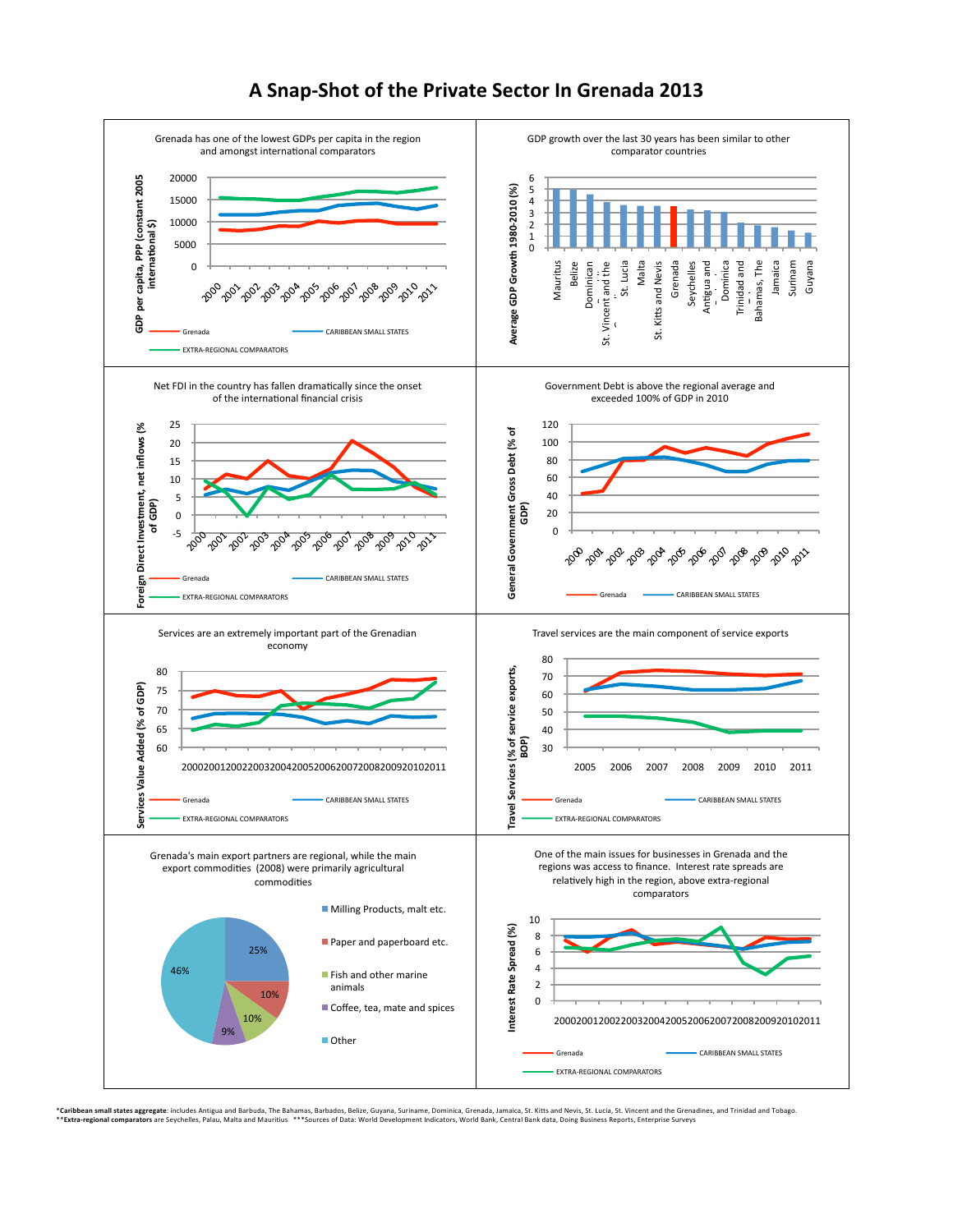

## A Snap-Shot of the Private Sector In Grenada 2013

\*Carib**ben small states aggregate** includes Antigua and Barbuda, The Bahamas, Barbados, Beliee, Guyana, Suriname, Dominica, Grenada, Jamaica, St. Kitts and Nevis, St. Lucia, St. Vincent and theirs carear and Tobago.<br>\*\*E**xt**